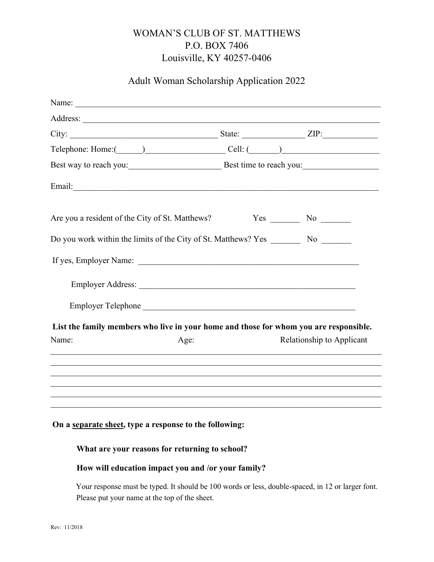# WOMAN'S CLUB OF ST. MATTHEWS P.O. BOX 7406 Louisville, KY 40257-0406

## Adult Woman Scholarship Application 2022

| Telephone: Home: (Callichness Cell: (Callichness Cellichness Cellichness Cellichness Cellichness Cellichness Cellichness Cellichness Cellichness Cellichness Cellichness Cellichness Cellichness Cellichness Cellichness Celli |                                 |
|--------------------------------------------------------------------------------------------------------------------------------------------------------------------------------------------------------------------------------|---------------------------------|
| Best way to reach you: Best time to reach you:                                                                                                                                                                                 |                                 |
|                                                                                                                                                                                                                                |                                 |
| Are you a resident of the City of St. Matthews?                                                                                                                                                                                | $Yes$ No $\_\_$                 |
| Do you work within the limits of the City of St. Matthews? Yes _______                                                                                                                                                         | $No \ \underline{\hspace{1cm}}$ |
| If yes, Employer Name: 1988. The Same State of the Second Line of the Second Line of the Second Line of the Second Line of the Second Line of the Second Line of the Second Line of the Second Line of the Second Line of the  |                                 |
|                                                                                                                                                                                                                                |                                 |
| Employer Telephone                                                                                                                                                                                                             |                                 |
| List the family members who live in your home and those for whom you are responsible.                                                                                                                                          |                                 |
| Name:<br>Age:                                                                                                                                                                                                                  | Relationship to Applicant       |
|                                                                                                                                                                                                                                |                                 |
|                                                                                                                                                                                                                                |                                 |
|                                                                                                                                                                                                                                |                                 |
|                                                                                                                                                                                                                                |                                 |

## On a separate sheet, type a response to the following:

#### What are your reasons for returning to school?

### How will education impact you and /or your family?

Your response must be typed. It should be 100 words or less, double-spaced, in 12 or larger font. Please put your name at the top of the sheet.